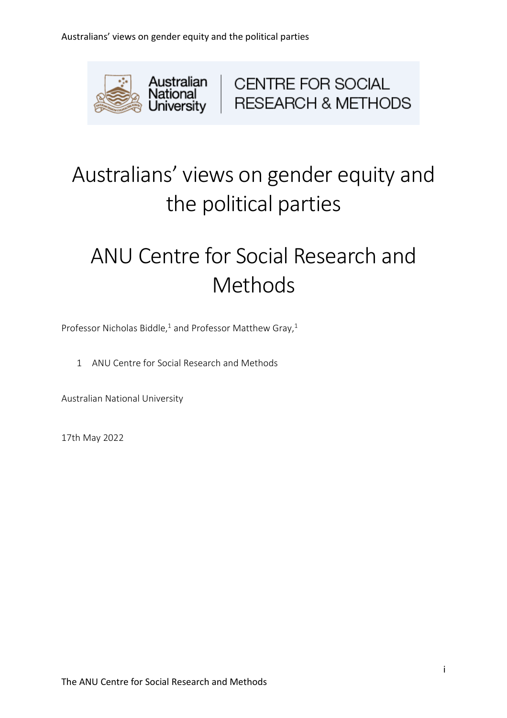

CENTRE FOR SOCIAL RESEARCH & METHODS

# Australians' views on gender equity and the political parties

# ANU Centre for Social Research and Methods

Professor Nicholas Biddle,<sup>1</sup> and Professor Matthew Gray,<sup>1</sup>

1 ANU Centre for Social Research and Methods

Australian National University

17th May 2022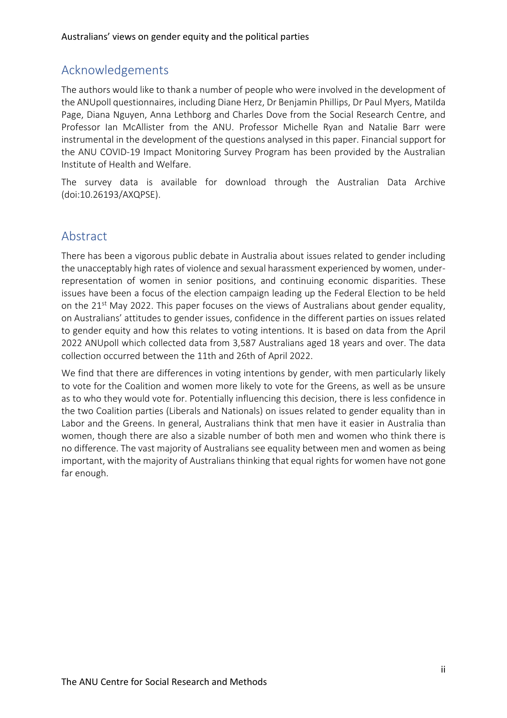### Acknowledgements

The authors would like to thank a number of people who were involved in the development of the ANUpoll questionnaires, including Diane Herz, Dr Benjamin Phillips, Dr Paul Myers, Matilda Page, Diana Nguyen, Anna Lethborg and Charles Dove from the Social Research Centre, and Professor Ian McAllister from the ANU. Professor Michelle Ryan and Natalie Barr were instrumental in the development of the questions analysed in this paper. Financial support for the ANU COVID-19 Impact Monitoring Survey Program has been provided by the Australian Institute of Health and Welfare.

The survey data is available for download through the Australian Data Archive (doi:10.26193/AXQPSE).

#### Abstract

There has been a vigorous public debate in Australia about issues related to gender including the unacceptably high rates of violence and sexual harassment experienced by women, underrepresentation of women in senior positions, and continuing economic disparities. These issues have been a focus of the election campaign leading up the Federal Election to be held on the  $21^{st}$  May 2022. This paper focuses on the views of Australians about gender equality, on Australians' attitudes to gender issues, confidence in the different parties on issues related to gender equity and how this relates to voting intentions. It is based on data from the April 2022 ANUpoll which collected data from 3,587 Australians aged 18 years and over. The data collection occurred between the 11th and 26th of April 2022.

We find that there are differences in voting intentions by gender, with men particularly likely to vote for the Coalition and women more likely to vote for the Greens, as well as be unsure as to who they would vote for. Potentially influencing this decision, there is less confidence in the two Coalition parties (Liberals and Nationals) on issues related to gender equality than in Labor and the Greens. In general, Australians think that men have it easier in Australia than women, though there are also a sizable number of both men and women who think there is no difference. The vast majority of Australians see equality between men and women as being important, with the majority of Australians thinking that equal rights for women have not gone far enough.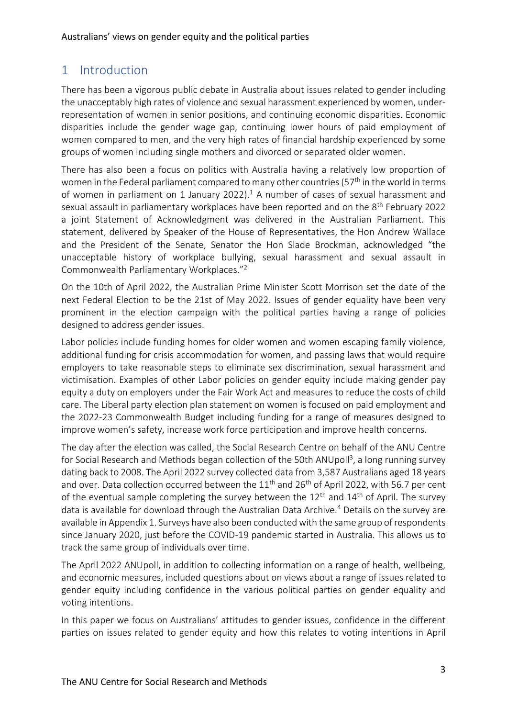# 1 Introduction

There has been a vigorous public debate in Australia about issues related to gender including the unacceptably high rates of violence and sexual harassment experienced by women, underrepresentation of women in senior positions, and continuing economic disparities. Economic disparities include the gender wage gap, continuing lower hours of paid employment of women compared to men, and the very high rates of financial hardship experienced by some groups of women including single mothers and divorced or separated older women.

There has also been a focus on politics with Australia having a relatively low proportion of women in the Federal parliament compared to many other countries ( $57<sup>th</sup>$  in the world in terms of women in parliament on 1 January 2022). <sup>1</sup> A number of cases of sexual harassment and sexual assault in parliamentary workplaces have been reported and on the 8<sup>th</sup> February 2022 a joint Statement of Acknowledgment was delivered in the Australian Parliament. This statement, delivered by Speaker of the House of Representatives, the Hon Andrew Wallace and the President of the Senate, Senator the Hon Slade Brockman, acknowledged "the unacceptable history of workplace bullying, sexual harassment and sexual assault in Commonwealth Parliamentary Workplaces." 2

On the 10th of April 2022, the Australian Prime Minister Scott Morrison set the date of the next Federal Election to be the 21st of May 2022. Issues of gender equality have been very prominent in the election campaign with the political parties having a range of policies designed to address gender issues.

Labor policies include funding homes for older women and women escaping family violence, additional funding for crisis accommodation for women, and passing laws that would require employers to take reasonable steps to eliminate sex discrimination, sexual harassment and victimisation. Examples of other Labor policies on gender equity include making gender pay equity a duty on employers under the Fair Work Act and measures to reduce the costs of child care. The Liberal party election plan statement on women is focused on paid employment and the 2022-23 Commonwealth Budget including funding for a range of measures designed to improve women's safety, increase work force participation and improve health concerns.

The day after the election was called, the Social Research Centre on behalf of the ANU Centre for Social Research and Methods began collection of the 50th ANUpoll<sup>3</sup>, a long running survey dating back to 2008. The April 2022 survey collected data from 3,587 Australians aged 18 years and over. Data collection occurred between the  $11<sup>th</sup>$  and  $26<sup>th</sup>$  of April 2022, with 56.7 per cent of the eventual sample completing the survey between the  $12<sup>th</sup>$  and  $14<sup>th</sup>$  of April. The survey data is available for download through the Australian Data Archive.<sup>4</sup> Details on the survey are available in Appendix 1. Surveys have also been conducted with the same group of respondents since January 2020, just before the COVID-19 pandemic started in Australia. This allows us to track the same group of individuals over time.

The April 2022 ANUpoll, in addition to collecting information on a range of health, wellbeing, and economic measures, included questions about on views about a range of issues related to gender equity including confidence in the various political parties on gender equality and voting intentions.

In this paper we focus on Australians' attitudes to gender issues, confidence in the different parties on issues related to gender equity and how this relates to voting intentions in April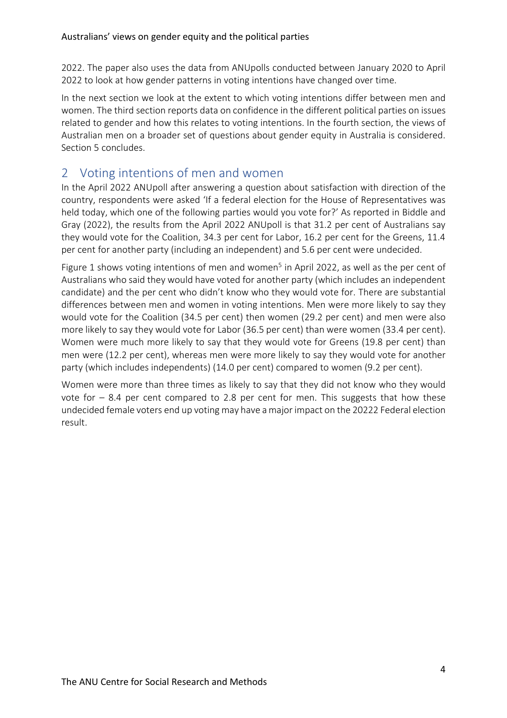2022. The paper also uses the data from ANUpolls conducted between January 2020 to April 2022 to look at how gender patterns in voting intentions have changed over time.

In the next section we look at the extent to which voting intentions differ between men and women. The third section reports data on confidence in the different political parties on issues related to gender and how this relates to voting intentions. In the fourth section, the views of Australian men on a broader set of questions about gender equity in Australia is considered. Section 5 concludes.

# 2 Voting intentions of men and women

In the April 2022 ANUpoll after answering a question about satisfaction with direction of the country, respondents were asked 'If a federal election for the House of Representatives was held today, which one of the following parties would you vote for?' As reported in Biddle and Gray (2022), the results from the April 2022 ANUpoll is that 31.2 per cent of Australians say they would vote for the Coalition, 34.3 per cent for Labor, 16.2 per cent for the Greens, 11.4 per cent for another party (including an independent) and 5.6 per cent were undecided.

Figure 1 shows voting intentions of men and women<sup>5</sup> in April 2022, as well as the per cent of Australians who said they would have voted for another party (which includes an independent candidate) and the per cent who didn't know who they would vote for. There are substantial differences between men and women in voting intentions. Men were more likely to say they would vote for the Coalition (34.5 per cent) then women (29.2 per cent) and men were also more likely to say they would vote for Labor (36.5 per cent) than were women (33.4 per cent). Women were much more likely to say that they would vote for Greens (19.8 per cent) than men were (12.2 per cent), whereas men were more likely to say they would vote for another party (which includes independents) (14.0 per cent) compared to women (9.2 per cent).

Women were more than three times as likely to say that they did not know who they would vote for  $-8.4$  per cent compared to 2.8 per cent for men. This suggests that how these undecided female voters end up voting may have a major impact on the 20222 Federal election result.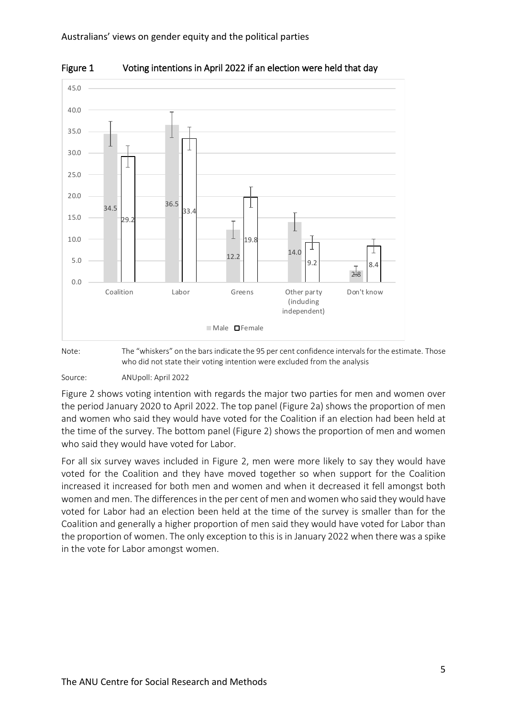

Figure 1 Voting intentions in April 2022 if an election were held that day

Note: The "whiskers" on the bars indicate the 95 per cent confidence intervals for the estimate. Those who did not state their voting intention were excluded from the analysis

Source: ANUpoll: April 2022

Figure 2 shows voting intention with regards the major two parties for men and women over the period January 2020 to April 2022. The top panel (Figure 2a) shows the proportion of men and women who said they would have voted for the Coalition if an election had been held at the time of the survey. The bottom panel (Figure 2) shows the proportion of men and women who said they would have voted for Labor.

For all six survey waves included in Figure 2, men were more likely to say they would have voted for the Coalition and they have moved together so when support for the Coalition increased it increased for both men and women and when it decreased it fell amongst both women and men. The differences in the per cent of men and women who said they would have voted for Labor had an election been held at the time of the survey is smaller than for the Coalition and generally a higher proportion of men said they would have voted for Labor than the proportion of women. The only exception to this is in January 2022 when there was a spike in the vote for Labor amongst women.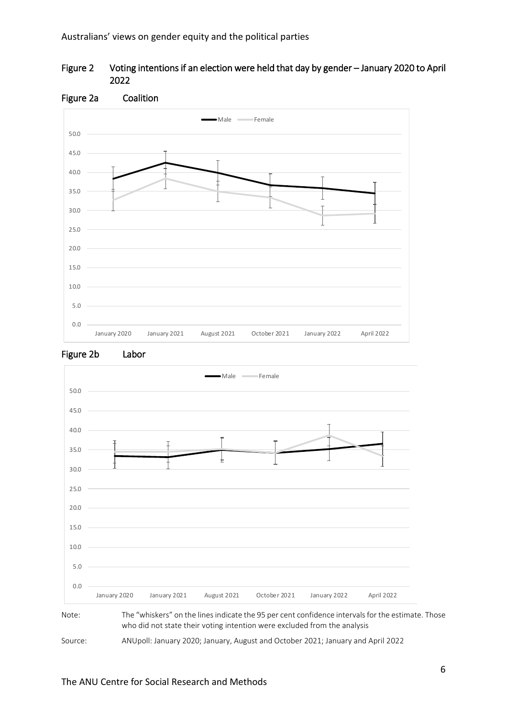







Note: The "whiskers" on the lines indicate the 95 per cent confidence intervals for the estimate. Those who did not state their voting intention were excluded from the analysis

Source: ANUpoll: January 2020; January, August and October 2021; January and April 2022

#### The ANU Centre for Social Research and Methods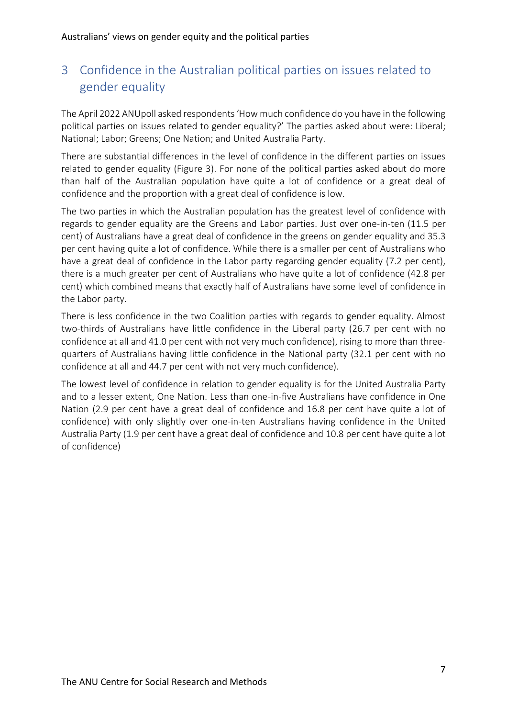# 3 Confidence in the Australian political parties on issues related to gender equality

The April 2022 ANUpoll asked respondents 'How much confidence do you have in the following political parties on issues related to gender equality?' The parties asked about were: Liberal; National; Labor; Greens; One Nation; and United Australia Party.

There are substantial differences in the level of confidence in the different parties on issues related to gender equality (Figure 3). For none of the political parties asked about do more than half of the Australian population have quite a lot of confidence or a great deal of confidence and the proportion with a great deal of confidence is low.

The two parties in which the Australian population has the greatest level of confidence with regards to gender equality are the Greens and Labor parties. Just over one-in-ten (11.5 per cent) of Australians have a great deal of confidence in the greens on gender equality and 35.3 per cent having quite a lot of confidence. While there is a smaller per cent of Australians who have a great deal of confidence in the Labor party regarding gender equality (7.2 per cent), there is a much greater per cent of Australians who have quite a lot of confidence (42.8 per cent) which combined means that exactly half of Australians have some level of confidence in the Labor party.

There is less confidence in the two Coalition parties with regards to gender equality. Almost two-thirds of Australians have little confidence in the Liberal party (26.7 per cent with no confidence at all and 41.0 per cent with not very much confidence), rising to more than threequarters of Australians having little confidence in the National party (32.1 per cent with no confidence at all and 44.7 per cent with not very much confidence).

The lowest level of confidence in relation to gender equality is for the United Australia Party and to a lesser extent, One Nation. Less than one-in-five Australians have confidence in One Nation (2.9 per cent have a great deal of confidence and 16.8 per cent have quite a lot of confidence) with only slightly over one-in-ten Australians having confidence in the United Australia Party (1.9 per cent have a great deal of confidence and 10.8 per cent have quite a lot of confidence)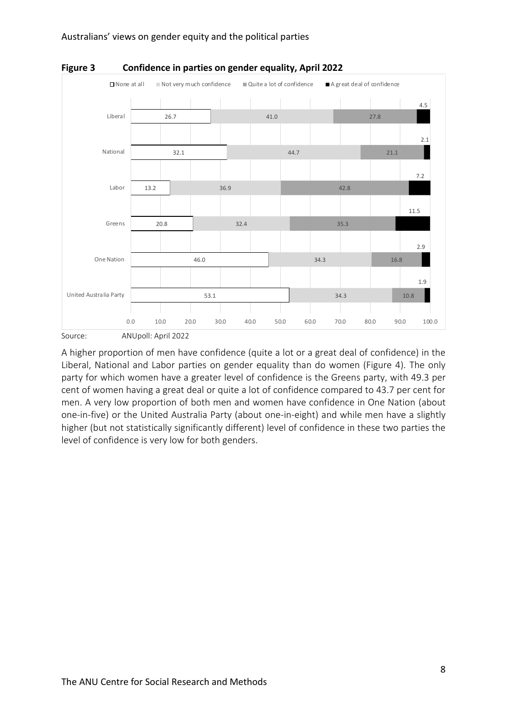



A higher proportion of men have confidence (quite a lot or a great deal of confidence) in the Liberal, National and Labor parties on gender equality than do women (Figure 4). The only party for which women have a greater level of confidence is the Greens party, with 49.3 per cent of women having a great deal or quite a lot of confidence compared to 43.7 per cent for men. A very low proportion of both men and women have confidence in One Nation (about one-in-five) or the United Australia Party (about one-in-eight) and while men have a slightly higher (but not statistically significantly different) level of confidence in these two parties the level of confidence is very low for both genders.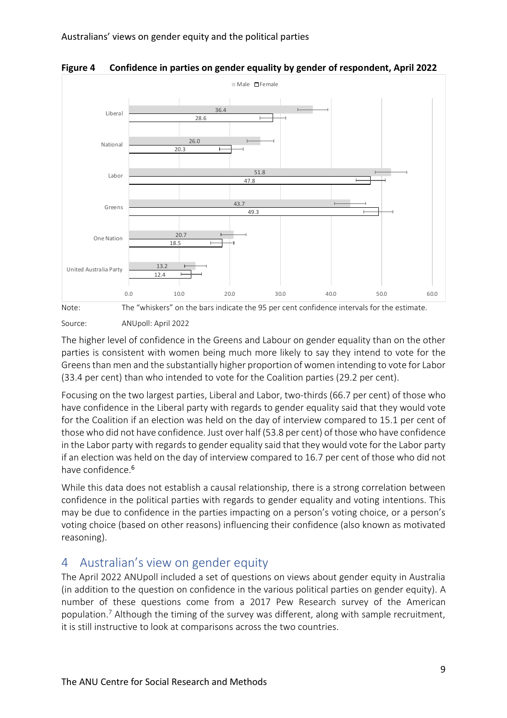

**Figure 4 Confidence in parties on gender equality by gender of respondent, April 2022** 



Source: ANUpoll: April 2022

The higher level of confidence in the Greens and Labour on gender equality than on the other parties is consistent with women being much more likely to say they intend to vote for the Greens than men and the substantially higher proportion of women intending to vote for Labor (33.4 per cent) than who intended to vote for the Coalition parties (29.2 per cent).

Focusing on the two largest parties, Liberal and Labor, two-thirds (66.7 per cent) of those who have confidence in the Liberal party with regards to gender equality said that they would vote for the Coalition if an election was held on the day of interview compared to 15.1 per cent of those who did not have confidence. Just over half (53.8 per cent) of those who have confidence in the Labor party with regards to gender equality said that they would vote for the Labor party if an election was held on the day of interview compared to 16.7 per cent of those who did not have confidence.<sup>6</sup>

While this data does not establish a causal relationship, there is a strong correlation between confidence in the political parties with regards to gender equality and voting intentions. This may be due to confidence in the parties impacting on a person's voting choice, or a person's voting choice (based on other reasons) influencing their confidence (also known as motivated reasoning).

# 4 Australian's view on gender equity

The April 2022 ANUpoll included a set of questions on views about gender equity in Australia (in addition to the question on confidence in the various political parties on gender equity). A number of these questions come from a 2017 Pew Research survey of the American population.<sup>7</sup> Although the timing of the survey was different, along with sample recruitment, it is still instructive to look at comparisons across the two countries.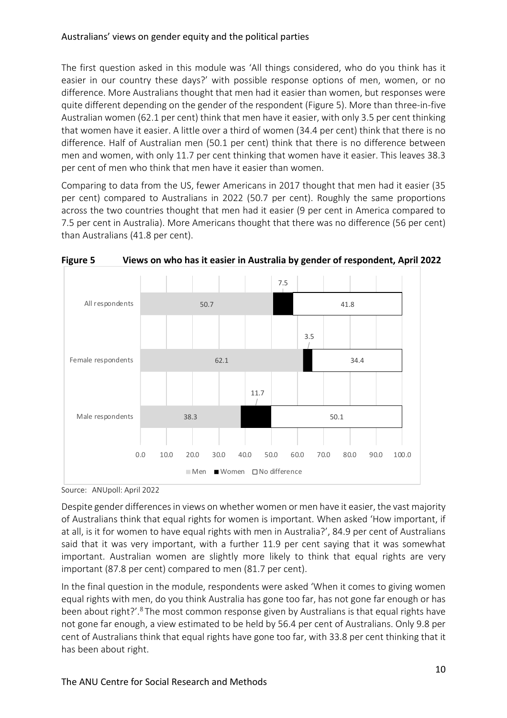The first question asked in this module was 'All things considered, who do you think has it easier in our country these days?' with possible response options of men, women, or no difference. More Australians thought that men had it easier than women, but responses were quite different depending on the gender of the respondent (Figure 5). More than three-in-five Australian women (62.1 per cent) think that men have it easier, with only 3.5 per cent thinking that women have it easier. A little over a third of women (34.4 per cent) think that there is no difference. Half of Australian men (50.1 per cent) think that there is no difference between men and women, with only 11.7 per cent thinking that women have it easier. This leaves 38.3 per cent of men who think that men have it easier than women.

Comparing to data from the US, fewer Americans in 2017 thought that men had it easier (35 per cent) compared to Australians in 2022 (50.7 per cent). Roughly the same proportions across the two countries thought that men had it easier (9 per cent in America compared to 7.5 per cent in Australia). More Americans thought that there was no difference (56 per cent) than Australians (41.8 per cent).



**Figure 5 Views on who has it easier in Australia by gender of respondent, April 2022** 

Source: ANUpoll: April 2022

Despite gender differences in views on whether women or men have it easier, the vast majority of Australians think that equal rights for women is important. When asked 'How important, if at all, is it for women to have equal rights with men in Australia?', 84.9 per cent of Australians said that it was very important, with a further 11.9 per cent saying that it was somewhat important. Australian women are slightly more likely to think that equal rights are very important (87.8 per cent) compared to men (81.7 per cent).

In the final question in the module, respondents were asked 'When it comes to giving women equal rights with men, do you think Australia has gone too far, has not gone far enough or has been about right?'.<sup>8</sup> The most common response given by Australians is that equal rights have not gone far enough, a view estimated to be held by 56.4 per cent of Australians. Only 9.8 per cent of Australians think that equal rights have gone too far, with 33.8 per cent thinking that it has been about right.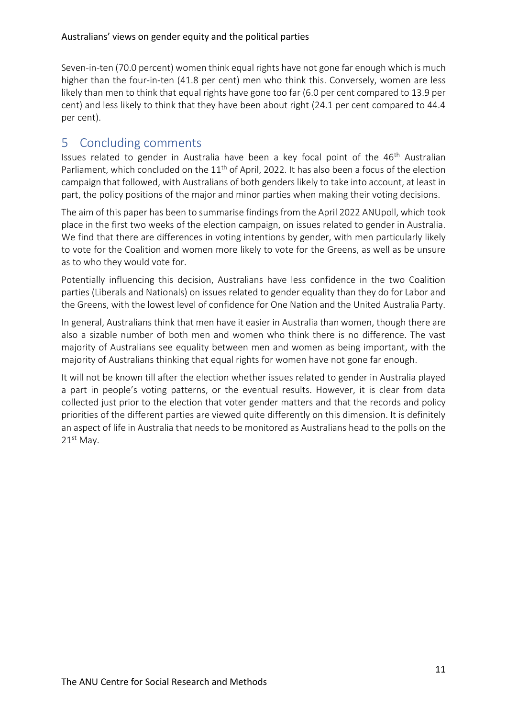Seven-in-ten (70.0 percent) women think equal rights have not gone far enough which is much higher than the four-in-ten (41.8 per cent) men who think this. Conversely, women are less likely than men to think that equal rights have gone too far (6.0 per cent compared to 13.9 per cent) and less likely to think that they have been about right (24.1 per cent compared to 44.4 per cent).

## 5 Concluding comments

Issues related to gender in Australia have been a key focal point of the 46<sup>th</sup> Australian Parliament, which concluded on the  $11<sup>th</sup>$  of April, 2022. It has also been a focus of the election campaign that followed, with Australians of both genders likely to take into account, at least in part, the policy positions of the major and minor parties when making their voting decisions.

The aim of this paper has been to summarise findings from the April 2022 ANUpoll, which took place in the first two weeks of the election campaign, on issues related to gender in Australia. We find that there are differences in voting intentions by gender, with men particularly likely to vote for the Coalition and women more likely to vote for the Greens, as well as be unsure as to who they would vote for.

Potentially influencing this decision, Australians have less confidence in the two Coalition parties (Liberals and Nationals) on issues related to gender equality than they do for Labor and the Greens, with the lowest level of confidence for One Nation and the United Australia Party.

In general, Australians think that men have it easier in Australia than women, though there are also a sizable number of both men and women who think there is no difference. The vast majority of Australians see equality between men and women as being important, with the majority of Australians thinking that equal rights for women have not gone far enough.

It will not be known till after the election whether issues related to gender in Australia played a part in people's voting patterns, or the eventual results. However, it is clear from data collected just prior to the election that voter gender matters and that the records and policy priorities of the different parties are viewed quite differently on this dimension. It is definitely an aspect of life in Australia that needs to be monitored as Australians head to the polls on the  $21<sup>st</sup>$  May.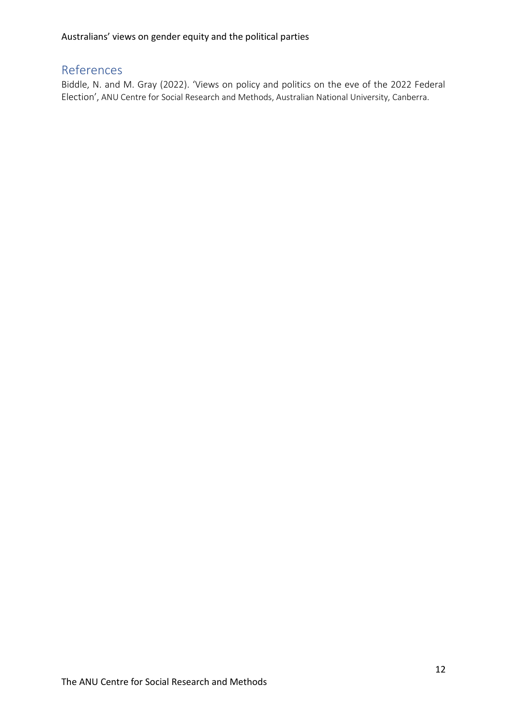## References

Biddle, N. and M. Gray (2022). 'Views on policy and politics on the eve of the 2022 Federal Election', ANU Centre for Social Research and Methods, Australian National University, Canberra.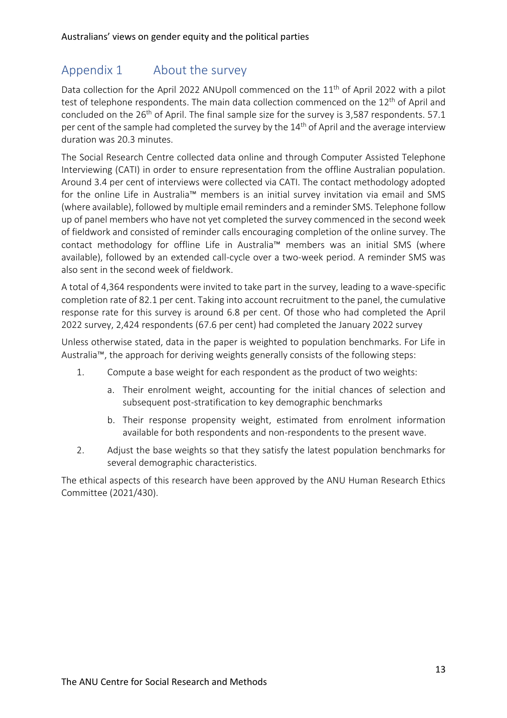# Appendix 1 About the survey

Data collection for the April 2022 ANUpoll commenced on the 11<sup>th</sup> of April 2022 with a pilot test of telephone respondents. The main data collection commenced on the 12<sup>th</sup> of April and concluded on the  $26<sup>th</sup>$  of April. The final sample size for the survey is 3,587 respondents. 57.1 per cent of the sample had completed the survey by the 14<sup>th</sup> of April and the average interview duration was 20.3 minutes.

The Social Research Centre collected data online and through Computer Assisted Telephone Interviewing (CATI) in order to ensure representation from the offline Australian population. Around 3.4 per cent of interviews were collected via CATI. The contact methodology adopted for the online Life in Australia™ members is an initial survey invitation via email and SMS (where available), followed by multiple email reminders and a reminder SMS. Telephone follow up of panel members who have not yet completed the survey commenced in the second week of fieldwork and consisted of reminder calls encouraging completion of the online survey. The contact methodology for offline Life in Australia™ members was an initial SMS (where available), followed by an extended call-cycle over a two-week period. A reminder SMS was also sent in the second week of fieldwork.

A total of 4,364 respondents were invited to take part in the survey, leading to a wave-specific completion rate of 82.1 per cent. Taking into account recruitment to the panel, the cumulative response rate for this survey is around 6.8 per cent. Of those who had completed the April 2022 survey, 2,424 respondents (67.6 per cent) had completed the January 2022 survey

Unless otherwise stated, data in the paper is weighted to population benchmarks. For Life in Australia™, the approach for deriving weights generally consists of the following steps:

- 1. Compute a base weight for each respondent as the product of two weights:
	- a. Their enrolment weight, accounting for the initial chances of selection and subsequent post-stratification to key demographic benchmarks
	- b. Their response propensity weight, estimated from enrolment information available for both respondents and non-respondents to the present wave.
- 2. Adjust the base weights so that they satisfy the latest population benchmarks for several demographic characteristics.

The ethical aspects of this research have been approved by the ANU Human Research Ethics Committee (2021/430).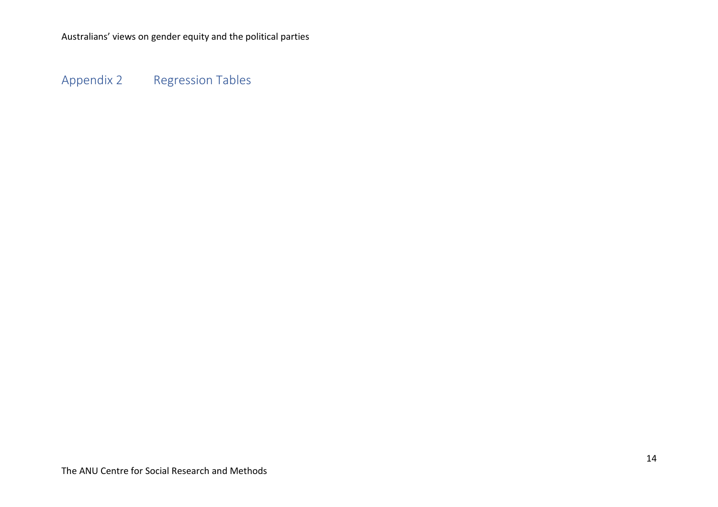Appendix 2 Regression Tables